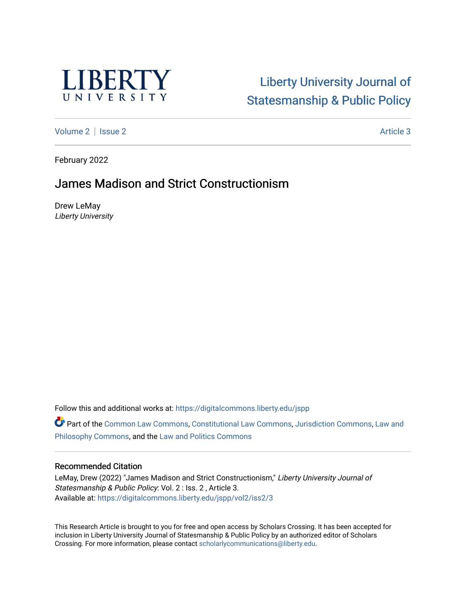

# [Liberty University Journal of](https://digitalcommons.liberty.edu/jspp)  [Statesmanship & Public Policy](https://digitalcommons.liberty.edu/jspp)

[Volume 2](https://digitalcommons.liberty.edu/jspp/vol2) | [Issue 2](https://digitalcommons.liberty.edu/jspp/vol2/iss2) Article 3

February 2022

# James Madison and Strict Constructionism

Drew LeMay Liberty University

Follow this and additional works at: [https://digitalcommons.liberty.edu/jspp](https://digitalcommons.liberty.edu/jspp?utm_source=digitalcommons.liberty.edu%2Fjspp%2Fvol2%2Fiss2%2F3&utm_medium=PDF&utm_campaign=PDFCoverPages) 

Part of the [Common Law Commons,](http://network.bepress.com/hgg/discipline/1120?utm_source=digitalcommons.liberty.edu%2Fjspp%2Fvol2%2Fiss2%2F3&utm_medium=PDF&utm_campaign=PDFCoverPages) [Constitutional Law Commons,](http://network.bepress.com/hgg/discipline/589?utm_source=digitalcommons.liberty.edu%2Fjspp%2Fvol2%2Fiss2%2F3&utm_medium=PDF&utm_campaign=PDFCoverPages) [Jurisdiction Commons,](http://network.bepress.com/hgg/discipline/850?utm_source=digitalcommons.liberty.edu%2Fjspp%2Fvol2%2Fiss2%2F3&utm_medium=PDF&utm_campaign=PDFCoverPages) [Law and](http://network.bepress.com/hgg/discipline/1299?utm_source=digitalcommons.liberty.edu%2Fjspp%2Fvol2%2Fiss2%2F3&utm_medium=PDF&utm_campaign=PDFCoverPages)  [Philosophy Commons,](http://network.bepress.com/hgg/discipline/1299?utm_source=digitalcommons.liberty.edu%2Fjspp%2Fvol2%2Fiss2%2F3&utm_medium=PDF&utm_campaign=PDFCoverPages) and the [Law and Politics Commons](http://network.bepress.com/hgg/discipline/867?utm_source=digitalcommons.liberty.edu%2Fjspp%2Fvol2%2Fiss2%2F3&utm_medium=PDF&utm_campaign=PDFCoverPages)

#### Recommended Citation

LeMay, Drew (2022) "James Madison and Strict Constructionism," Liberty University Journal of Statesmanship & Public Policy: Vol. 2 : Iss. 2 , Article 3. Available at: [https://digitalcommons.liberty.edu/jspp/vol2/iss2/3](https://digitalcommons.liberty.edu/jspp/vol2/iss2/3?utm_source=digitalcommons.liberty.edu%2Fjspp%2Fvol2%2Fiss2%2F3&utm_medium=PDF&utm_campaign=PDFCoverPages) 

This Research Article is brought to you for free and open access by Scholars Crossing. It has been accepted for inclusion in Liberty University Journal of Statesmanship & Public Policy by an authorized editor of Scholars Crossing. For more information, please contact [scholarlycommunications@liberty.edu](mailto:scholarlycommunications@liberty.edu).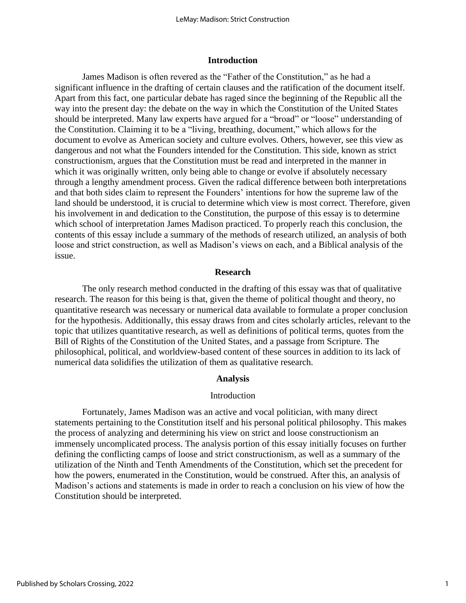#### **Introduction**

James Madison is often revered as the "Father of the Constitution," as he had a significant influence in the drafting of certain clauses and the ratification of the document itself. Apart from this fact, one particular debate has raged since the beginning of the Republic all the way into the present day: the debate on the way in which the Constitution of the United States should be interpreted. Many law experts have argued for a "broad" or "loose" understanding of the Constitution. Claiming it to be a "living, breathing, document," which allows for the document to evolve as American society and culture evolves. Others, however, see this view as dangerous and not what the Founders intended for the Constitution. This side, known as strict constructionism, argues that the Constitution must be read and interpreted in the manner in which it was originally written, only being able to change or evolve if absolutely necessary through a lengthy amendment process. Given the radical difference between both interpretations and that both sides claim to represent the Founders' intentions for how the supreme law of the land should be understood, it is crucial to determine which view is most correct. Therefore, given his involvement in and dedication to the Constitution, the purpose of this essay is to determine which school of interpretation James Madison practiced. To properly reach this conclusion, the contents of this essay include a summary of the methods of research utilized, an analysis of both loose and strict construction, as well as Madison's views on each, and a Biblical analysis of the issue.

#### **Research**

The only research method conducted in the drafting of this essay was that of qualitative research. The reason for this being is that, given the theme of political thought and theory, no quantitative research was necessary or numerical data available to formulate a proper conclusion for the hypothesis. Additionally, this essay draws from and cites scholarly articles, relevant to the topic that utilizes quantitative research, as well as definitions of political terms, quotes from the Bill of Rights of the Constitution of the United States, and a passage from Scripture. The philosophical, political, and worldview-based content of these sources in addition to its lack of numerical data solidifies the utilization of them as qualitative research.

#### **Analysis**

#### Introduction

Fortunately, James Madison was an active and vocal politician, with many direct statements pertaining to the Constitution itself and his personal political philosophy. This makes the process of analyzing and determining his view on strict and loose constructionism an immensely uncomplicated process. The analysis portion of this essay initially focuses on further defining the conflicting camps of loose and strict constructionism, as well as a summary of the utilization of the Ninth and Tenth Amendments of the Constitution, which set the precedent for how the powers, enumerated in the Constitution, would be construed. After this, an analysis of Madison's actions and statements is made in order to reach a conclusion on his view of how the Constitution should be interpreted.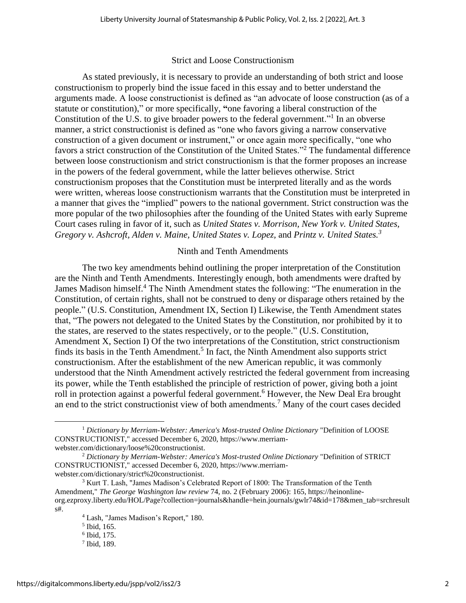### Strict and Loose Constructionism

As stated previously, it is necessary to provide an understanding of both strict and loose constructionism to properly bind the issue faced in this essay and to better understand the arguments made. A loose constructionist is defined as "an advocate of loose construction (as of a statute or constitution)," or more specifically, **"**one favoring a liberal construction of the Constitution of the U.S. to give broader powers to the federal government."<sup>1</sup> In an obverse manner, a strict constructionist is defined as "one who favors giving a narrow conservative construction of a given document or instrument," or once again more specifically, "one who favors a strict construction of the Constitution of the United States."<sup>2</sup> The fundamental difference between loose constructionism and strict constructionism is that the former proposes an increase in the powers of the federal government, while the latter believes otherwise. Strict constructionism proposes that the Constitution must be interpreted literally and as the words were written, whereas loose constructionism warrants that the Constitution must be interpreted in a manner that gives the "implied" powers to the national government. Strict construction was the more popular of the two philosophies after the founding of the United States with early Supreme Court cases ruling in favor of it, such as *United States v. Morrison, New York v. United States, Gregory v. Ashcroft, Alden v. Maine, United States v. Lopez,* and *Printz v. United States.<sup>3</sup>*

## Ninth and Tenth Amendments

The two key amendments behind outlining the proper interpretation of the Constitution are the Ninth and Tenth Amendments. Interestingly enough, both amendments were drafted by James Madison himself.<sup>4</sup> The Ninth Amendment states the following: "The enumeration in the Constitution, of certain rights, shall not be construed to deny or disparage others retained by the people." (U.S. Constitution, Amendment IX, Section I) Likewise, the Tenth Amendment states that, "The powers not delegated to the United States by the Constitution, nor prohibited by it to the states, are reserved to the states respectively, or to the people." (U.S. Constitution, Amendment X, Section I) Of the two interpretations of the Constitution, strict constructionism finds its basis in the Tenth Amendment.<sup>5</sup> In fact, the Ninth Amendment also supports strict constructionism. After the establishment of the new American republic, it was commonly understood that the Ninth Amendment actively restricted the federal government from increasing its power, while the Tenth established the principle of restriction of power, giving both a joint roll in protection against a powerful federal government.<sup>6</sup> However, the New Deal Era brought an end to the strict constructionist view of both amendments.<sup>7</sup> Many of the court cases decided

<sup>1</sup> *Dictionary by Merriam-Webster: America's Most-trusted Online Dictionary* "Definition of LOOSE CONSTRUCTIONIST," accessed December 6, 2020, https://www.merriamwebster.com/dictionary/loose%20constructionist.

<sup>2</sup> *Dictionary by Merriam-Webster: America's Most-trusted Online Dictionary* "Definition of STRICT CONSTRUCTIONIST," accessed December 6, 2020, https://www.merriamwebster.com/dictionary/strict%20constructionist.

<sup>&</sup>lt;sup>3</sup> Kurt T. Lash, "James Madison's Celebrated Report of 1800: The Transformation of the Tenth Amendment," *The George Washington law review* 74, no. 2 (February 2006): 165, https://heinonlineorg.ezproxy.liberty.edu/HOL/Page?collection=journals&handle=hein.journals/gwlr74&id=178&men\_tab=srchresult s#.

<sup>4</sup> Lash, "James Madison's Report," 180.

<sup>5</sup> Ibid, 165.

<sup>6</sup> Ibid, 175.

<sup>7</sup> Ibid, 189.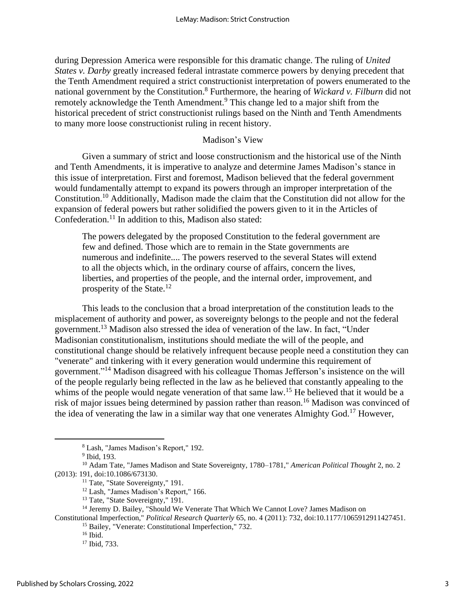during Depression America were responsible for this dramatic change. The ruling of *United States v. Darby* greatly increased federal intrastate commerce powers by denying precedent that the Tenth Amendment required a strict constructionist interpretation of powers enumerated to the national government by the Constitution.<sup>8</sup> Furthermore, the hearing of *Wickard v. Filburn* did not remotely acknowledge the Tenth Amendment.<sup>9</sup> This change led to a major shift from the historical precedent of strict constructionist rulings based on the Ninth and Tenth Amendments to many more loose constructionist ruling in recent history.

## Madison's View

Given a summary of strict and loose constructionism and the historical use of the Ninth and Tenth Amendments, it is imperative to analyze and determine James Madison's stance in this issue of interpretation. First and foremost, Madison believed that the federal government would fundamentally attempt to expand its powers through an improper interpretation of the Constitution.<sup>10</sup> Additionally, Madison made the claim that the Constitution did not allow for the expansion of federal powers but rather solidified the powers given to it in the Articles of Confederation.<sup>11</sup> In addition to this, Madison also stated:

The powers delegated by the proposed Constitution to the federal government are few and defined. Those which are to remain in the State governments are numerous and indefinite.... The powers reserved to the several States will extend to all the objects which, in the ordinary course of affairs, concern the lives, liberties, and properties of the people, and the internal order, improvement, and prosperity of the State.<sup>12</sup>

This leads to the conclusion that a broad interpretation of the constitution leads to the misplacement of authority and power, as sovereignty belongs to the people and not the federal government.<sup>13</sup> Madison also stressed the idea of veneration of the law. In fact, "Under Madisonian constitutionalism, institutions should mediate the will of the people, and constitutional change should be relatively infrequent because people need a constitution they can "venerate" and tinkering with it every generation would undermine this requirement of government."<sup>14</sup> Madison disagreed with his colleague Thomas Jefferson's insistence on the will of the people regularly being reflected in the law as he believed that constantly appealing to the whims of the people would negate veneration of that same law.<sup>15</sup> He believed that it would be a risk of major issues being determined by passion rather than reason.<sup>16</sup> Madison was convinced of the idea of venerating the law in a similar way that one venerates Almighty God.<sup>17</sup> However,

<sup>11</sup> Tate, "State Sovereignty," 191.

<sup>12</sup> Lash, "James Madison's Report," 166.

<sup>14</sup> Jeremy D. Bailey, "Should We Venerate That Which We Cannot Love? James Madison on

Constitutional Imperfection," *Political Research Quarterly* 65, no. 4 (2011): 732, doi:10.1177/1065912911427451.

<sup>15</sup> Bailey, "Venerate: Constitutional Imperfection," 732.

<sup>17</sup> Ibid, 733.

<sup>8</sup> Lash, "James Madison's Report," 192.

<sup>9</sup> Ibid, 193.

<sup>10</sup> Adam Tate, "James Madison and State Sovereignty, 1780–1781," *American Political Thought* 2, no. 2 (2013): 191, doi:10.1086/673130.

<sup>&</sup>lt;sup>13</sup> Tate, "State Sovereignty," 191.

 $16$  Ibid.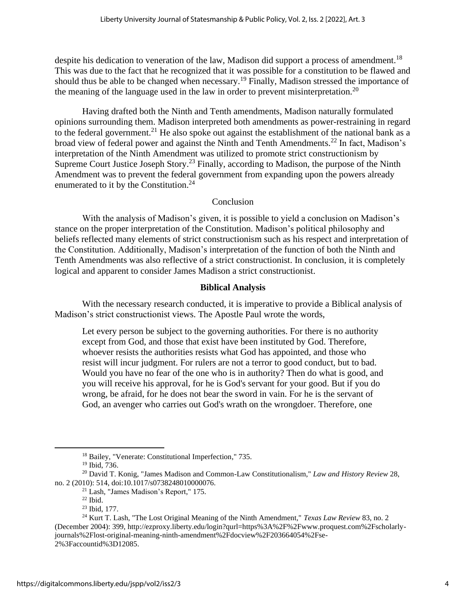despite his dedication to veneration of the law, Madison did support a process of amendment.<sup>18</sup> This was due to the fact that he recognized that it was possible for a constitution to be flawed and should thus be able to be changed when necessary.<sup>19</sup> Finally, Madison stressed the importance of the meaning of the language used in the law in order to prevent misinterpretation.<sup>20</sup>

Having drafted both the Ninth and Tenth amendments, Madison naturally formulated opinions surrounding them. Madison interpreted both amendments as power-restraining in regard to the federal government.<sup>21</sup> He also spoke out against the establishment of the national bank as a broad view of federal power and against the Ninth and Tenth Amendments.<sup>22</sup> In fact, Madison's interpretation of the Ninth Amendment was utilized to promote strict constructionism by Supreme Court Justice Joseph Story.<sup>23</sup> Finally, according to Madison, the purpose of the Ninth Amendment was to prevent the federal government from expanding upon the powers already enumerated to it by the Constitution.<sup>24</sup>

# Conclusion

With the analysis of Madison's given, it is possible to yield a conclusion on Madison's stance on the proper interpretation of the Constitution. Madison's political philosophy and beliefs reflected many elements of strict constructionism such as his respect and interpretation of the Constitution. Additionally, Madison's interpretation of the function of both the Ninth and Tenth Amendments was also reflective of a strict constructionist. In conclusion, it is completely logical and apparent to consider James Madison a strict constructionist.

# **Biblical Analysis**

With the necessary research conducted, it is imperative to provide a Biblical analysis of Madison's strict constructionist views. The Apostle Paul wrote the words,

Let every person be subject to the governing authorities. For there is no authority except from God, and those that exist have been instituted by God. Therefore, whoever resists the authorities resists what God has appointed, and those who resist will incur judgment. For rulers are not a terror to good conduct, but to bad. Would you have no fear of the one who is in authority? Then do what is good, and you will receive his approval, for he is God's servant for your good. But if you do wrong, be afraid, for he does not bear the sword in vain. For he is the servant of God, an avenger who carries out God's wrath on the wrongdoer. Therefore, one

<sup>18</sup> Bailey, "Venerate: Constitutional Imperfection," 735.

<sup>19</sup> Ibid, 736.

<sup>20</sup> David T. Konig, "James Madison and Common-Law Constitutionalism," *Law and History Review* 28, no. 2 (2010): 514, doi:10.1017/s0738248010000076.

<sup>21</sup> Lash, "James Madison's Report," 175.

 $22$  Ibid.

<sup>23</sup> Ibid, 177.

<sup>24</sup> Kurt T. Lash, "The Lost Original Meaning of the Ninth Amendment," *Texas Law Review* 83, no. 2 (December 2004): 399, http://ezproxy.liberty.edu/login?qurl=https%3A%2F%2Fwww.proquest.com%2Fscholarlyjournals%2Flost-original-meaning-ninth-amendment%2Fdocview%2F203664054%2Fse-2%3Faccountid%3D12085.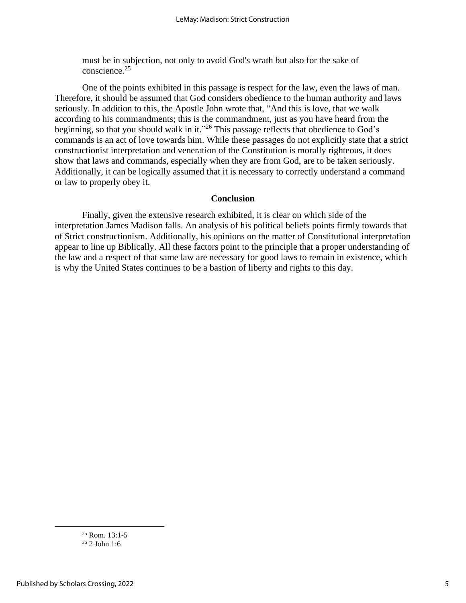must be in subjection, not only to avoid God's wrath but also for the sake of conscience.<sup>25</sup>

One of the points exhibited in this passage is respect for the law, even the laws of man. Therefore, it should be assumed that God considers obedience to the human authority and laws seriously. In addition to this, the Apostle John wrote that, "And this is love, that we walk according to his commandments; this is the commandment, just as you have heard from the beginning, so that you should walk in it."<sup>26</sup> This passage reflects that obedience to God's commands is an act of love towards him. While these passages do not explicitly state that a strict constructionist interpretation and veneration of the Constitution is morally righteous, it does show that laws and commands, especially when they are from God, are to be taken seriously. Additionally, it can be logically assumed that it is necessary to correctly understand a command or law to properly obey it.

## **Conclusion**

Finally, given the extensive research exhibited, it is clear on which side of the interpretation James Madison falls. An analysis of his political beliefs points firmly towards that of Strict constructionism. Additionally, his opinions on the matter of Constitutional interpretation appear to line up Biblically. All these factors point to the principle that a proper understanding of the law and a respect of that same law are necessary for good laws to remain in existence, which is why the United States continues to be a bastion of liberty and rights to this day.

 $25$  Rom. 13:1-5 <sup>26</sup> 2 John 1:6